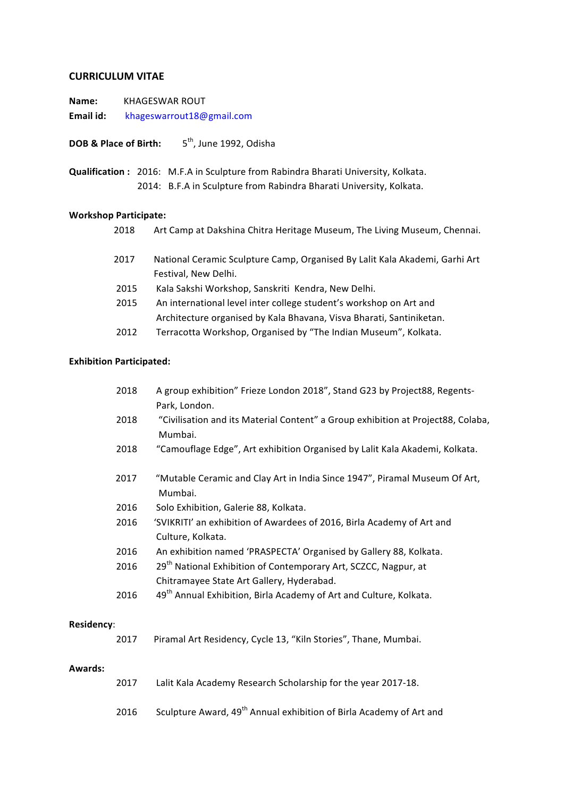### **CURRICULUM VITAE**

**Name:** KHAGESWAR ROUT Email id: khageswarrout18@gmail.com

**DOB & Place of Birth:** 5<sup>th</sup>, June 1992, Odisha

**Qualification**: 2016: M.F.A in Sculpture from Rabindra Bharati University, Kolkata. 2014: B.F.A in Sculpture from Rabindra Bharati University, Kolkata.

#### **Workshop Participate:**

|  | Art Camp at Dakshina Chitra Heritage Museum, The Living Museum, Chennai. |
|--|--------------------------------------------------------------------------|
|--|--------------------------------------------------------------------------|

- 2017 National Ceramic Sculpture Camp, Organised By Lalit Kala Akademi, Garhi Art Festival, New Delhi.
- 2015 Kala Sakshi Workshop, Sanskriti Kendra, New Delhi.
- 2015 An international level inter college student's workshop on Art and Architecture organised by Kala Bhavana, Visva Bharati, Santiniketan.
- 2012 Terracotta Workshop, Organised by "The Indian Museum", Kolkata.

#### **Exhibition Participated:**

|            | 2018 | A group exhibition" Frieze London 2018", Stand G23 by Project88, Regents-<br>Park, London.                               |
|------------|------|--------------------------------------------------------------------------------------------------------------------------|
|            | 2018 | "Civilisation and its Material Content" a Group exhibition at Project88, Colaba,<br>Mumbai.                              |
|            | 2018 | "Camouflage Edge", Art exhibition Organised by Lalit Kala Akademi, Kolkata.                                              |
|            | 2017 | "Mutable Ceramic and Clay Art in India Since 1947", Piramal Museum Of Art,<br>Mumbai.                                    |
|            | 2016 | Solo Exhibition, Galerie 88, Kolkata.                                                                                    |
|            | 2016 | 'SVIKRITI' an exhibition of Awardees of 2016, Birla Academy of Art and<br>Culture, Kolkata.                              |
|            | 2016 | An exhibition named 'PRASPECTA' Organised by Gallery 88, Kolkata.                                                        |
|            | 2016 | 29 <sup>th</sup> National Exhibition of Contemporary Art, SCZCC, Nagpur, at<br>Chitramayee State Art Gallery, Hyderabad. |
|            | 2016 | 49 <sup>th</sup> Annual Exhibition, Birla Academy of Art and Culture, Kolkata.                                           |
| Residency: |      |                                                                                                                          |
|            | 2017 | Piramal Art Residency, Cycle 13, "Kiln Stories", Thane, Mumbai.                                                          |

## **Awards:**

| Lalit Kala Academy Research Scholarship for the year 2017-18.<br>2017 |  |
|-----------------------------------------------------------------------|--|
|-----------------------------------------------------------------------|--|

2016 Sculpture Award, 49<sup>th</sup> Annual exhibition of Birla Academy of Art and